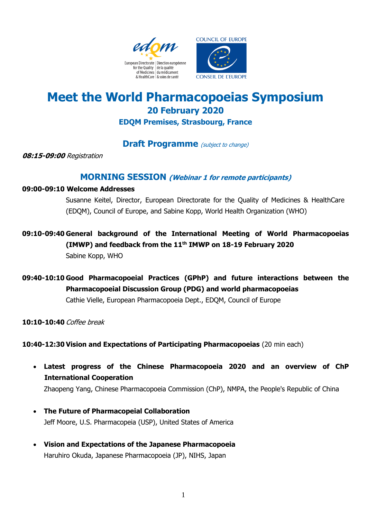



# **Meet the World Pharmacopoeias Symposium 20 February 2020**

**EDQM Premises, Strasbourg, France**

## **Draft Programme** (subject to change)

**08:15-09:00** Registration

## **MORNING SESSION (Webinar 1 for remote participants)**

#### **09:00-09:10 Welcome Addresses**

Susanne Keitel, Director, European Directorate for the Quality of Medicines & HealthCare (EDQM), Council of Europe, and Sabine Kopp, World Health Organization (WHO)

- **09:10-09:40 General background of the International Meeting of World Pharmacopoeias (IMWP) and feedback from the 11th IMWP on 18-19 February 2020** Sabine Kopp, WHO
- **09:40-10:10 Good Pharmacopoeial Practices (GPhP) and future interactions between the Pharmacopoeial Discussion Group (PDG) and world pharmacopoeias**  Cathie Vielle, European Pharmacopoeia Dept., EDQM, Council of Europe

**10:10-10:40** Coffee break

**10:40-12:30 Vision and Expectations of Participating Pharmacopoeias** (20 min each)

 **Latest progress of the Chinese Pharmacopoeia 2020 and an overview of ChP International Cooperation**

Zhaopeng Yang, Chinese Pharmacopoeia Commission (ChP), NMPA, the People's Republic of China

- **The Future of Pharmacopeial Collaboration** Jeff Moore, U.S. Pharmacopeia (USP), United States of America
- **Vision and Expectations of the Japanese Pharmacopoeia** Haruhiro Okuda, Japanese Pharmacopoeia (JP), NIHS, Japan